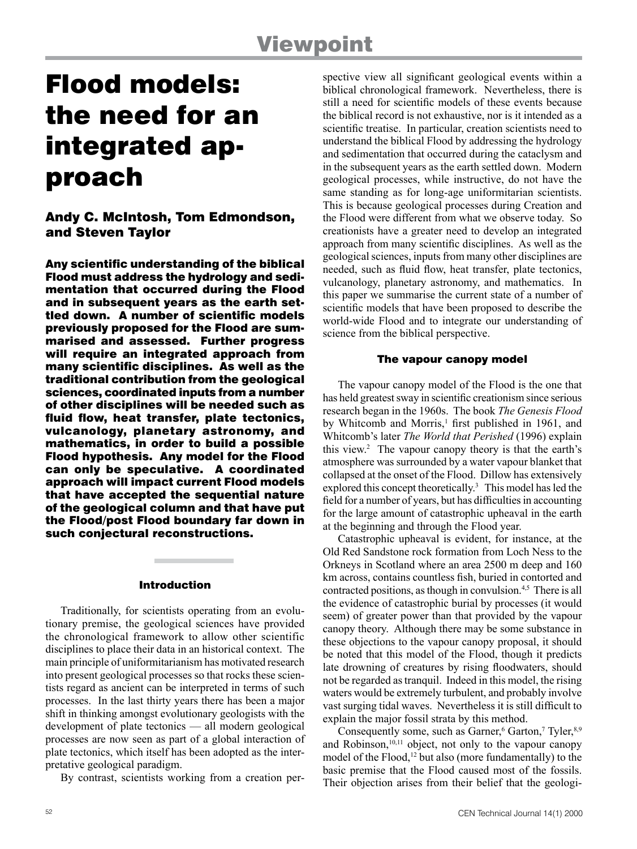# Flood models: the need for an integrated approach

Andy C. McIntosh, Tom Edmondson, and Steven Taylor

Any scientific understanding of the biblical Flood must address the hydrology and sedimentation that occurred during the Flood and in subsequent years as the earth settled down. A number of scientific models previously proposed for the Flood are summarised and assessed. Further progress will require an integrated approach from many scientific disciplines. As well as the traditional contribution from the geological sciences, coordinated inputs from a number of other disciplines will be needed such as fluid flow, heat transfer, plate tectonics, vulcanology, planetary astronomy, and mathematics, in order to build a possible Flood hypothesis. Any model for the Flood can only be speculative. A coordinated approach will impact current Flood models that have accepted the sequential nature of the geological column and that have put the Flood/post Flood boundary far down in such conjectural reconstructions.

### Introduction

Traditionally, for scientists operating from an evolutionary premise, the geological sciences have provided the chronological framework to allow other scientific disciplines to place their data in an historical context. The main principle of uniformitarianism has motivated research into present geological processes so that rocks these scientists regard as ancient can be interpreted in terms of such processes. In the last thirty years there has been a major shift in thinking amongst evolutionary geologists with the development of plate tectonics — all modern geological processes are now seen as part of a global interaction of plate tectonics, which itself has been adopted as the interpretative geological paradigm.

By contrast, scientists working from a creation per-

spective view all significant geological events within a biblical chronological framework. Nevertheless, there is still a need for scientific models of these events because the biblical record is not exhaustive, nor is it intended as a scientific treatise. In particular, creation scientists need to understand the biblical Flood by addressing the hydrology and sedimentation that occurred during the cataclysm and in the subsequent years as the earth settled down. Modern geological processes, while instructive, do not have the same standing as for long-age uniformitarian scientists. This is because geological processes during Creation and the Flood were different from what we observe today. So creationists have a greater need to develop an integrated approach from many scientific disciplines. As well as the geological sciences, inputs from many other disciplines are needed, such as fluid flow, heat transfer, plate tectonics, vulcanology, planetary astronomy, and mathematics. In this paper we summarise the current state of a number of scientific models that have been proposed to describe the world-wide Flood and to integrate our understanding of science from the biblical perspective.

#### The vapour canopy model

The vapour canopy model of the Flood is the one that has held greatest sway in scientific creationism since serious research began in the 1960s. The book *The Genesis Flood* by Whitcomb and Morris,<sup>1</sup> first published in 1961, and Whitcomb's later *The World that Perished* (1996) explain this view.2 The vapour canopy theory is that the earth's atmosphere was surrounded by a water vapour blanket that collapsed at the onset of the Flood. Dillow has extensively explored this concept theoretically.<sup>3</sup> This model has led the field for a number of years, but has difficulties in accounting for the large amount of catastrophic upheaval in the earth at the beginning and through the Flood year.

Catastrophic upheaval is evident, for instance, at the Old Red Sandstone rock formation from Loch Ness to the Orkneys in Scotland where an area 2500 m deep and 160 km across, contains countless fish, buried in contorted and contracted positions, as though in convulsion.<sup>4,5</sup> There is all the evidence of catastrophic burial by processes (it would seem) of greater power than that provided by the vapour canopy theory. Although there may be some substance in these objections to the vapour canopy proposal, it should be noted that this model of the Flood, though it predicts late drowning of creatures by rising floodwaters, should not be regarded as tranquil. Indeed in this model, the rising waters would be extremely turbulent, and probably involve vast surging tidal waves. Nevertheless it is still difficult to explain the major fossil strata by this method.

Consequently some, such as Garner,<sup>6</sup> Garton,<sup>7</sup> Tyler,<sup>8,9</sup> and Robinson,<sup>10,11</sup> object, not only to the vapour canopy model of the Flood,<sup>12</sup> but also (more fundamentally) to the basic premise that the Flood caused most of the fossils. Their objection arises from their belief that the geologi-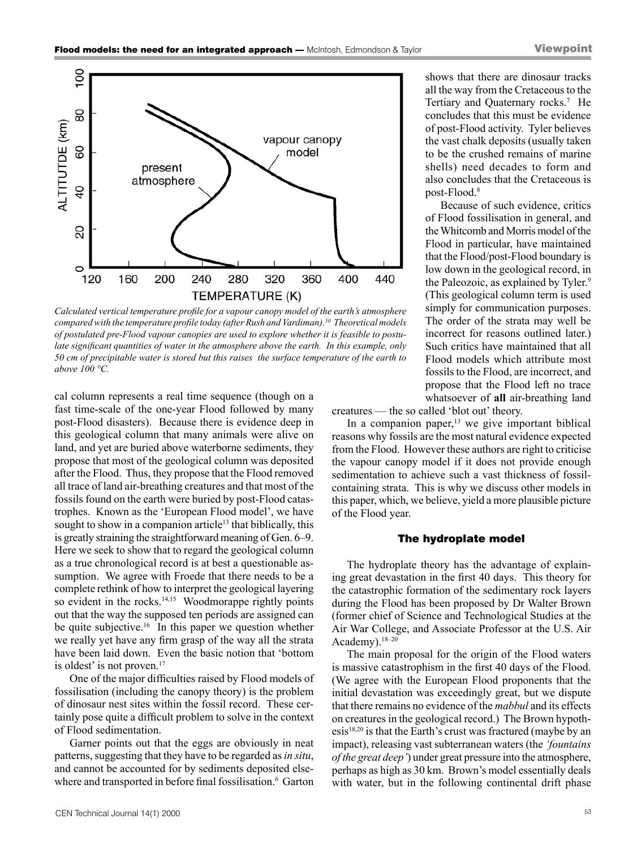shows that there are dinosaur tracks all the way from the Cretaceous to the Tertiary and Quaternary rocks.<sup>7</sup> He concludes that this must be evidence of post-Flood activity. Tyler believes the vast chalk deposits (usually taken to be the crushed remains of marine shells) need decades to form and also concludes that the Cretaceous is

Because of such evidence, critics of Flood fossilisation in general, and the Whitcomb and Morris model of the Flood in particular, have maintained that the Flood/post-Flood boundary is low down in the geological record, in the Paleozoic, as explained by Tyler.<sup>9</sup> (This geological column term is used simply for communication purposes. The order of the strata may well be incorrect for reasons outlined later.) Such critics have maintained that all Flood models which attribute most fossils to the Flood, are incorrect, and propose that the Flood left no trace whatsoever of **all** air-breathing land



*Calculated vertical temperature profile for a vapour canopy model of the earth's atmosphere compared with the temperature profile today (after Rush and Vardiman).50 Theoretical models of postulated pre-Flood vapour canopies are used to explore whether it is feasible to postulate significant quantities of water in the atmosphere above the earth. In this example, only 50 cm of precipitable water is stored but this raises the surface temperature of the earth to above 100 °C.*

cal column represents a real time sequence (though on a fast time-scale of the one-year Flood followed by many post-Flood disasters). Because there is evidence deep in this geological column that many animals were alive on land, and yet are buried above waterborne sediments, they propose that most of the geological column was deposited after the Flood. Thus, they propose that the Flood removed all trace of land air-breathing creatures and that most of the fossils found on the earth were buried by post-Flood catastrophes. Known as the 'European Flood model', we have sought to show in a companion article<sup>13</sup> that biblically, this is greatly straining the straightforward meaning of Gen. 6–9. Here we seek to show that to regard the geological column as a true chronological record is at best a questionable assumption. We agree with Froede that there needs to be a complete rethink of how to interpret the geological layering so evident in the rocks.<sup>14,15</sup> Woodmorappe rightly points out that the way the supposed ten periods are assigned can be quite subjective.<sup>16</sup> In this paper we question whether we really yet have any firm grasp of the way all the strata have been laid down. Even the basic notion that 'bottom is oldest' is not proven.<sup>17</sup>

One of the major difficulties raised by Flood models of fossilisation (including the canopy theory) is the problem of dinosaur nest sites within the fossil record. These certainly pose quite a difficult problem to solve in the context of Flood sedimentation.

Garner points out that the eggs are obviously in neat patterns, suggesting that they have to be regarded as *in situ*, and cannot be accounted for by sediments deposited elsewhere and transported in before final fossilisation.<sup>6</sup> Garton creatures — the so called 'blot out' theory.

In a companion paper, $13$  we give important biblical reasons why fossils are the most natural evidence expected from the Flood. However these authors are right to criticise the vapour canopy model if it does not provide enough sedimentation to achieve such a vast thickness of fossilcontaining strata. This is why we discuss other models in this paper, which, we believe, yield a more plausible picture of the Flood year.

post-Flood.8

#### The hydroplate model

The hydroplate theory has the advantage of explaining great devastation in the first 40 days. This theory for the catastrophic formation of the sedimentary rock layers during the Flood has been proposed by Dr Walter Brown (former chief of Science and Technological Studies at the Air War College, and Associate Professor at the U.S. Air Academy).<sup>18-20</sup>

The main proposal for the origin of the Flood waters is massive catastrophism in the first 40 days of the Flood. (We agree with the European Flood proponents that the initial devastation was exceedingly great, but we dispute that there remains no evidence of the *mabbul* and its effects on creatures in the geological record.) The Brown hypothesis<sup>18,20</sup> is that the Earth's crust was fractured (maybe by an impact), releasing vast subterranean waters (the *'fountains of the great deep'*) under great pressure into the atmosphere, perhaps as high as 30 km. Brown's model essentially deals with water, but in the following continental drift phase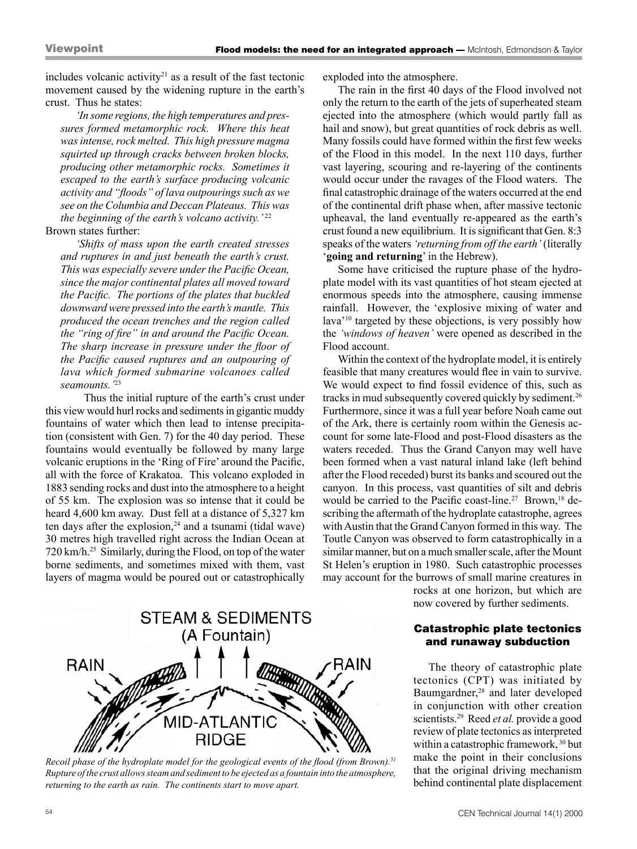includes volcanic activity<sup>21</sup> as a result of the fast tectonic movement caused by the widening rupture in the earth's crust. Thus he states:

*'In some regions, the high temperatures and pressures formed metamorphic rock. Where this heat was intense, rock melted. This high pressure magma squirted up through cracks between broken blocks, producing other metamorphic rocks. Sometimes it escaped to the earth's surface producing volcanic activity and "floods" of lava outpourings such as we see on the Columbia and Deccan Plateaus. This was the beginning of the earth's volcano activity.* '22

# Brown states further:

*'Shifts of mass upon the earth created stresses and ruptures in and just beneath the earth's crust. This was especially severe under the Pacific Ocean, since the major continental plates all moved toward the Pacific. The portions of the plates that buckled downward were pressed into the earth's mantle. This produced the ocean trenches and the region called the "ring of fire" in and around the Pacific Ocean. The sharp increase in pressure under the floor of the Pacific caused ruptures and an outpouring of lava which formed submarine volcanoes called seamounts.'*<sup>23</sup>

Thus the initial rupture of the earth's crust under this view would hurl rocks and sediments in gigantic muddy fountains of water which then lead to intense precipitation (consistent with Gen. 7) for the 40 day period. These fountains would eventually be followed by many large volcanic eruptions in the 'Ring of Fire' around the Pacific, all with the force of Krakatoa. This volcano exploded in 1883 sending rocks and dust into the atmosphere to a height of 55 km. The explosion was so intense that it could be heard 4,600 km away. Dust fell at a distance of 5,327 km ten days after the explosion, $24$  and a tsunami (tidal wave) 30 metres high travelled right across the Indian Ocean at 720 km/h.25 Similarly, during the Flood, on top of the water borne sediments, and sometimes mixed with them, vast layers of magma would be poured out or catastrophically exploded into the atmosphere.

The rain in the first 40 days of the Flood involved not only the return to the earth of the jets of superheated steam ejected into the atmosphere (which would partly fall as hail and snow), but great quantities of rock debris as well. Many fossils could have formed within the first few weeks of the Flood in this model. In the next 110 days, further vast layering, scouring and re-layering of the continents would occur under the ravages of the Flood waters. The final catastrophic drainage of the waters occurred at the end of the continental drift phase when, after massive tectonic upheaval, the land eventually re-appeared as the earth's crust found a new equilibrium. It is significant that Gen. 8:3 speaks of the waters *'returning from off the earth'* (literally '**going and returning**' in the Hebrew).

Some have criticised the rupture phase of the hydroplate model with its vast quantities of hot steam ejected at enormous speeds into the atmosphere, causing immense rainfall. However, the 'explosive mixing of water and lava'10 targeted by these objections, is very possibly how the *'windows of heaven'* were opened as described in the Flood account.

Within the context of the hydroplate model, it is entirely feasible that many creatures would flee in vain to survive. We would expect to find fossil evidence of this, such as tracks in mud subsequently covered quickly by sediment.26 Furthermore, since it was a full year before Noah came out of the Ark, there is certainly room within the Genesis account for some late-Flood and post-Flood disasters as the waters receded. Thus the Grand Canyon may well have been formed when a vast natural inland lake (left behind after the Flood receded) burst its banks and scoured out the canyon. In this process, vast quantities of silt and debris would be carried to the Pacific coast-line.<sup>27</sup> Brown,<sup>18</sup> describing the aftermath of the hydroplate catastrophe, agrees with Austin that the Grand Canyon formed in this way. The Toutle Canyon was observed to form catastrophically in a similar manner, but on a much smaller scale, after the Mount St Helen's eruption in 1980. Such catastrophic processes may account for the burrows of small marine creatures in



*Recoil phase of the hydroplate model for the geological events of the flood (from Brown).<sup>51</sup> Rupture of the crust allows steam and sediment to be ejected as a fountain into the atmosphere, returning to the earth as rain. The continents start to move apart.*

rocks at one horizon, but which are now covered by further sediments.

## Catastrophic plate tectonics and runaway subduction

The theory of catastrophic plate tectonics (CPT) was initiated by Baumgardner,<sup>28</sup> and later developed in conjunction with other creation scientists.<sup>29</sup> Reed *et al.* provide a good review of plate tectonics as interpreted within a catastrophic framework, <sup>30</sup> but make the point in their conclusions that the original driving mechanism behind continental plate displacement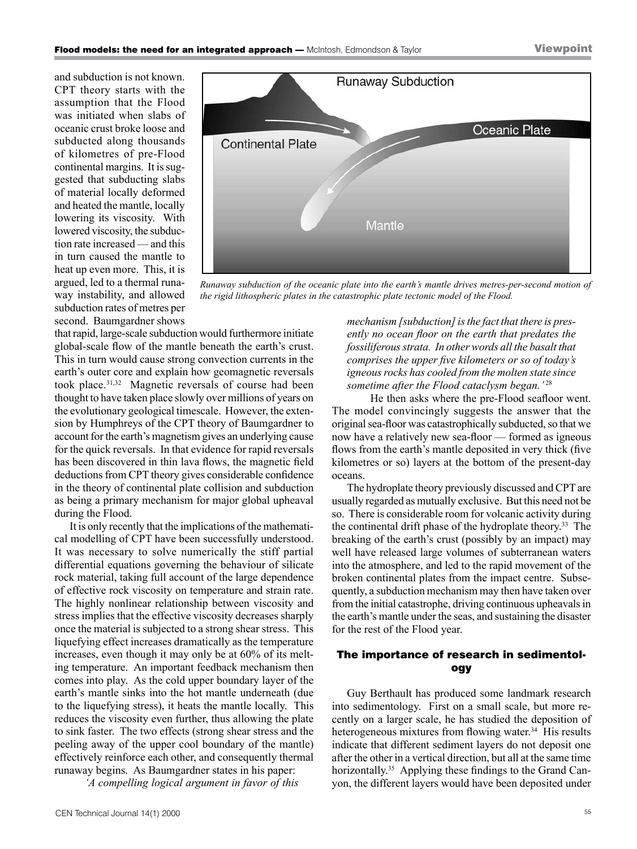and subduction is not known. CPT theory starts with the assumption that the Flood was initiated when slabs of oceanic crust broke loose and subducted along thousands of kilometres of pre-Flood continental margins. It is suggested that subducting slabs of material locally deformed and heated the mantle, locally lowering its viscosity. With lowered viscosity, the subduction rate increased — and this in turn caused the mantle to heat up even more. This, it is argued, led to a thermal runaway instability, and allowed subduction rates of metres per second. Baumgardner shows



*Runaway subduction of the oceanic plate into the earth's mantle drives metres-per-second motion of the rigid lithospheric plates in the catastrophic plate tectonic model of the Flood.*

that rapid, large-scale subduction would furthermore initiate global-scale flow of the mantle beneath the earth's crust. This in turn would cause strong convection currents in the earth's outer core and explain how geomagnetic reversals took place.31,32 Magnetic reversals of course had been thought to have taken place slowly over millions of years on the evolutionary geological timescale. However, the extension by Humphreys of the CPT theory of Baumgardner to account for the earth's magnetism gives an underlying cause for the quick reversals. In that evidence for rapid reversals has been discovered in thin lava flows, the magnetic field deductions from CPT theory gives considerable confidence in the theory of continental plate collision and subduction as being a primary mechanism for major global upheaval during the Flood.

It is only recently that the implications of the mathematical modelling of CPT have been successfully understood. It was necessary to solve numerically the stiff partial differential equations governing the behaviour of silicate rock material, taking full account of the large dependence of effective rock viscosity on temperature and strain rate. The highly nonlinear relationship between viscosity and stress implies that the effective viscosity decreases sharply once the material is subjected to a strong shear stress. This liquefying effect increases dramatically as the temperature increases, even though it may only be at 60% of its melting temperature. An important feedback mechanism then comes into play. As the cold upper boundary layer of the earth's mantle sinks into the hot mantle underneath (due to the liquefying stress), it heats the mantle locally. This reduces the viscosity even further, thus allowing the plate to sink faster. The two effects (strong shear stress and the peeling away of the upper cool boundary of the mantle) effectively reinforce each other, and consequently thermal runaway begins. As Baumgardner states in his paper:

*'A compelling logical argument in favor of this* 

*mechanism [subduction] is the fact that there is presently no ocean floor on the earth that predates the fossiliferous strata. In other words all the basalt that comprises the upper five kilometers or so of today's igneous rocks has cooled from the molten state since sometime after the Flood cataclysm began.'* <sup>28</sup>

He then asks where the pre-Flood seafloor went. The model convincingly suggests the answer that the original sea-floor was catastrophically subducted, so that we now have a relatively new sea-floor — formed as igneous flows from the earth's mantle deposited in very thick (five kilometres or so) layers at the bottom of the present-day oceans.

The hydroplate theory previously discussed and CPT are usually regarded as mutually exclusive. But this need not be so. There is considerable room for volcanic activity during the continental drift phase of the hydroplate theory.33 The breaking of the earth's crust (possibly by an impact) may well have released large volumes of subterranean waters into the atmosphere, and led to the rapid movement of the broken continental plates from the impact centre. Subsequently, a subduction mechanism may then have taken over from the initial catastrophe, driving continuous upheavals in the earth's mantle under the seas, and sustaining the disaster for the rest of the Flood year.

# The importance of research in sedimentology

Guy Berthault has produced some landmark research into sedimentology. First on a small scale, but more recently on a larger scale, he has studied the deposition of heterogeneous mixtures from flowing water.<sup>34</sup> His results indicate that different sediment layers do not deposit one after the other in a vertical direction, but all at the same time horizontally.<sup>35</sup> Applying these findings to the Grand Canyon, the different layers would have been deposited under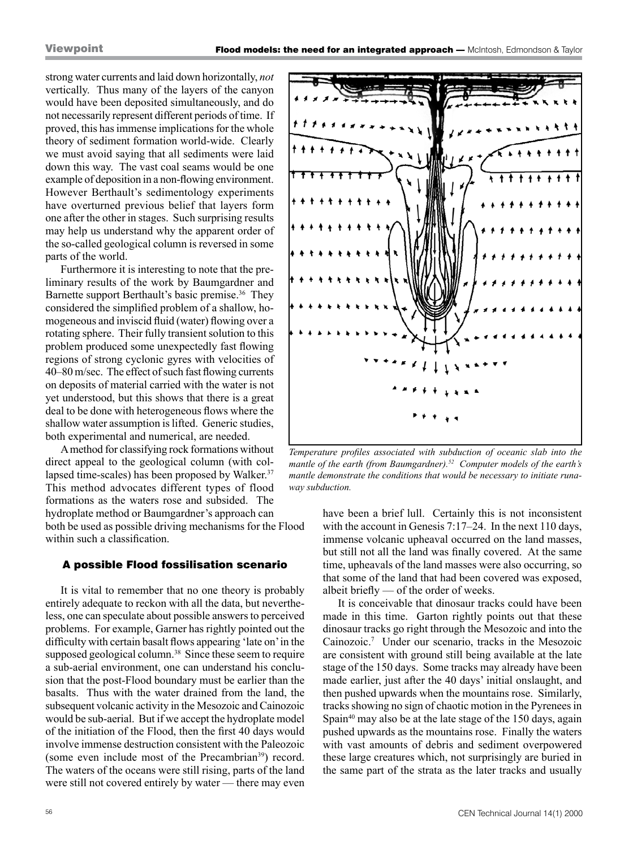strong water currents and laid down horizontally, *not* vertically. Thus many of the layers of the canyon would have been deposited simultaneously, and do not necessarily represent different periods of time. If proved, this has immense implications for the whole theory of sediment formation world-wide. Clearly we must avoid saying that all sediments were laid down this way. The vast coal seams would be one example of deposition in a non-flowing environment. However Berthault's sedimentology experiments have overturned previous belief that layers form one after the other in stages. Such surprising results may help us understand why the apparent order of the so-called geological column is reversed in some parts of the world.

Furthermore it is interesting to note that the preliminary results of the work by Baumgardner and Barnette support Berthault's basic premise.<sup>36</sup> They considered the simplified problem of a shallow, homogeneous and inviscid fluid (water) flowing over a rotating sphere. Their fully transient solution to this problem produced some unexpectedly fast flowing regions of strong cyclonic gyres with velocities of 40–80 m/sec. The effect of such fast flowing currents on deposits of material carried with the water is not yet understood, but this shows that there is a great deal to be done with heterogeneous flows where the shallow water assumption is lifted. Generic studies, both experimental and numerical, are needed.

A method for classifying rock formations without direct appeal to the geological column (with collapsed time-scales) has been proposed by Walker.<sup>37</sup> This method advocates different types of flood formations as the waters rose and subsided. The hydroplate method or Baumgardner's approach can both be used as possible driving mechanisms for the Flood within such a classification.

## A possible Flood fossilisation scenario

It is vital to remember that no one theory is probably entirely adequate to reckon with all the data, but nevertheless, one can speculate about possible answers to perceived problems. For example, Garner has rightly pointed out the difficulty with certain basalt flows appearing 'late on' in the supposed geological column.<sup>38</sup> Since these seem to require a sub-aerial environment, one can understand his conclusion that the post-Flood boundary must be earlier than the basalts. Thus with the water drained from the land, the subsequent volcanic activity in the Mesozoic and Cainozoic would be sub-aerial. But if we accept the hydroplate model of the initiation of the Flood, then the first 40 days would involve immense destruction consistent with the Paleozoic (some even include most of the Precambrian<sup>39</sup>) record. The waters of the oceans were still rising, parts of the land were still not covered entirely by water — there may even



*Temperature profiles associated with subduction of oceanic slab into the mantle of the earth (from Baumgardner).52 Computer models of the earth's mantle demonstrate the conditions that would be necessary to initiate runaway subduction.*

have been a brief lull. Certainly this is not inconsistent with the account in Genesis 7:17–24. In the next 110 days, immense volcanic upheaval occurred on the land masses, but still not all the land was finally covered. At the same time, upheavals of the land masses were also occurring, so that some of the land that had been covered was exposed, albeit briefly — of the order of weeks.

It is conceivable that dinosaur tracks could have been made in this time. Garton rightly points out that these dinosaur tracks go right through the Mesozoic and into the Cainozoic.7 Under our scenario, tracks in the Mesozoic are consistent with ground still being available at the late stage of the 150 days. Some tracks may already have been made earlier, just after the 40 days' initial onslaught, and then pushed upwards when the mountains rose. Similarly, tracks showing no sign of chaotic motion in the Pyrenees in Spain<sup>40</sup> may also be at the late stage of the 150 days, again pushed upwards as the mountains rose. Finally the waters with vast amounts of debris and sediment overpowered these large creatures which, not surprisingly are buried in the same part of the strata as the later tracks and usually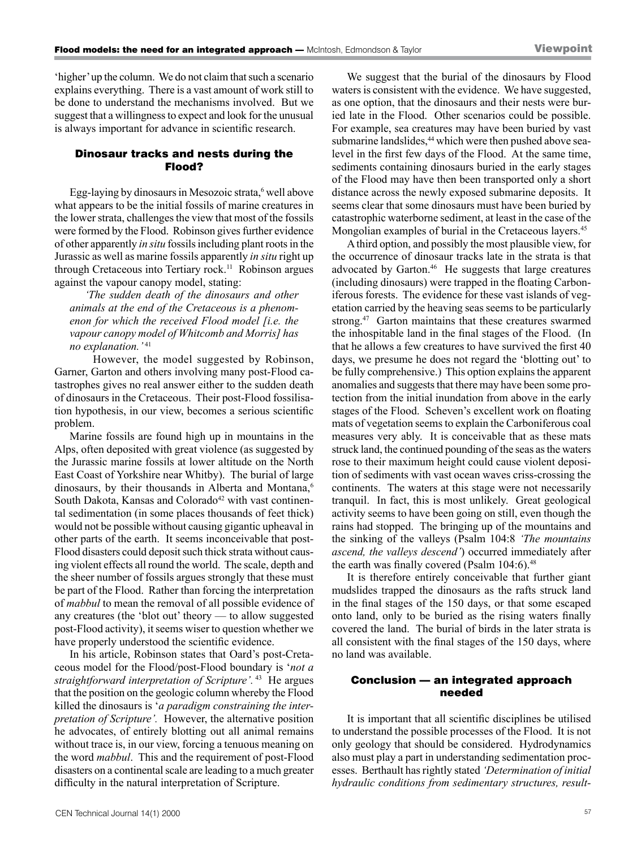'higher' up the column. We do not claim that such a scenario explains everything. There is a vast amount of work still to be done to understand the mechanisms involved. But we suggest that a willingness to expect and look for the unusual is always important for advance in scientific research.

# Dinosaur tracks and nests during the Flood?

Egg-laying by dinosaurs in Mesozoic strata,<sup>6</sup> well above what appears to be the initial fossils of marine creatures in the lower strata, challenges the view that most of the fossils were formed by the Flood. Robinson gives further evidence of other apparently *in situ* fossils including plant roots in the Jurassic as well as marine fossils apparently *in situ* right up through Cretaceous into Tertiary rock.<sup>11</sup> Robinson argues against the vapour canopy model, stating:

*'The sudden death of the dinosaurs and other animals at the end of the Cretaceous is a phenomenon for which the received Flood model [i.e. the vapour canopy model of Whitcomb and Morris] has no explanation.'*<sup>41</sup>

However, the model suggested by Robinson, Garner, Garton and others involving many post-Flood catastrophes gives no real answer either to the sudden death of dinosaurs in the Cretaceous. Their post-Flood fossilisation hypothesis, in our view, becomes a serious scientific problem.

Marine fossils are found high up in mountains in the Alps, often deposited with great violence (as suggested by the Jurassic marine fossils at lower altitude on the North East Coast of Yorkshire near Whitby). The burial of large dinosaurs, by their thousands in Alberta and Montana,<sup>6</sup> South Dakota, Kansas and Colorado<sup>42</sup> with vast continental sedimentation (in some places thousands of feet thick) would not be possible without causing gigantic upheaval in other parts of the earth. It seems inconceivable that post-Flood disasters could deposit such thick strata without causing violent effects all round the world. The scale, depth and the sheer number of fossils argues strongly that these must be part of the Flood. Rather than forcing the interpretation of *mabbul* to mean the removal of all possible evidence of any creatures (the 'blot out' theory — to allow suggested post-Flood activity), it seems wiser to question whether we have properly understood the scientific evidence.

In his article, Robinson states that Oard's post-Cretaceous model for the Flood/post-Flood boundary is '*not a straightforward interpretation of Scripture'.* 43 He argues that the position on the geologic column whereby the Flood killed the dinosaurs is '*a paradigm constraining the interpretation of Scripture'.* However, the alternative position he advocates, of entirely blotting out all animal remains without trace is, in our view, forcing a tenuous meaning on the word *mabbul*. This and the requirement of post-Flood disasters on a continental scale are leading to a much greater difficulty in the natural interpretation of Scripture.

We suggest that the burial of the dinosaurs by Flood waters is consistent with the evidence. We have suggested, as one option, that the dinosaurs and their nests were buried late in the Flood. Other scenarios could be possible. For example, sea creatures may have been buried by vast submarine landslides,<sup>44</sup> which were then pushed above sealevel in the first few days of the Flood. At the same time, sediments containing dinosaurs buried in the early stages of the Flood may have then been transported only a short distance across the newly exposed submarine deposits. It seems clear that some dinosaurs must have been buried by catastrophic waterborne sediment, at least in the case of the Mongolian examples of burial in the Cretaceous layers.<sup>45</sup>

A third option, and possibly the most plausible view, for the occurrence of dinosaur tracks late in the strata is that advocated by Garton.<sup>46</sup> He suggests that large creatures (including dinosaurs) were trapped in the floating Carboniferous forests. The evidence for these vast islands of vegetation carried by the heaving seas seems to be particularly strong.47 Garton maintains that these creatures swarmed the inhospitable land in the final stages of the Flood. (In that he allows a few creatures to have survived the first 40 days, we presume he does not regard the 'blotting out' to be fully comprehensive.) This option explains the apparent anomalies and suggests that there may have been some protection from the initial inundation from above in the early stages of the Flood. Scheven's excellent work on floating mats of vegetation seems to explain the Carboniferous coal measures very ably. It is conceivable that as these mats struck land, the continued pounding of the seas as the waters rose to their maximum height could cause violent deposition of sediments with vast ocean waves criss-crossing the continents. The waters at this stage were not necessarily tranquil. In fact, this is most unlikely. Great geological activity seems to have been going on still, even though the rains had stopped. The bringing up of the mountains and the sinking of the valleys (Psalm 104:8 *'The mountains ascend, the valleys descend'*) occurred immediately after the earth was finally covered (Psalm 104:6).<sup>48</sup>

It is therefore entirely conceivable that further giant mudslides trapped the dinosaurs as the rafts struck land in the final stages of the 150 days, or that some escaped onto land, only to be buried as the rising waters finally covered the land. The burial of birds in the later strata is all consistent with the final stages of the 150 days, where no land was available.

## Conclusion — an integrated approach needed

It is important that all scientific disciplines be utilised to understand the possible processes of the Flood. It is not only geology that should be considered. Hydrodynamics also must play a part in understanding sedimentation processes. Berthault has rightly stated *'Determination of initial hydraulic conditions from sedimentary structures, result-*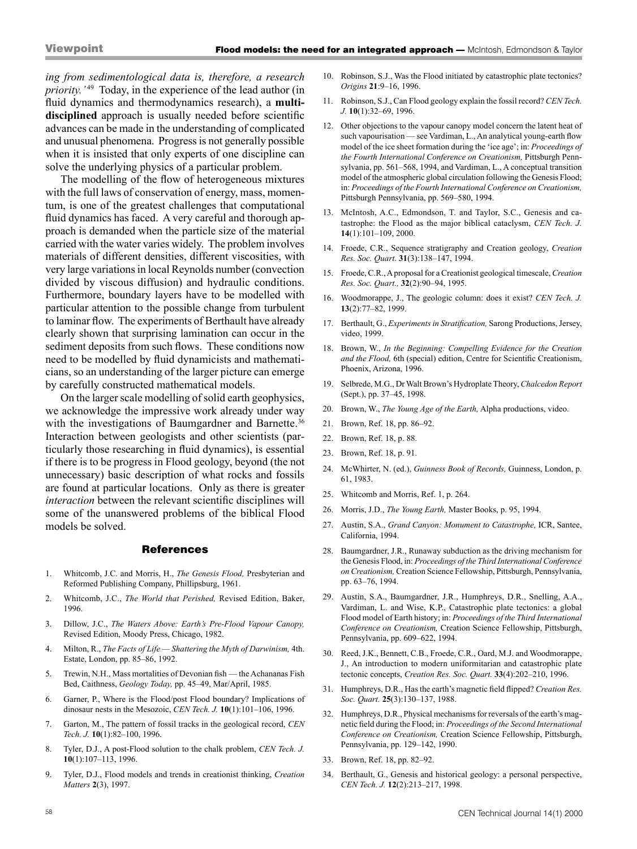*ing from sedimentological data is, therefore, a research priority.'*<sup>49</sup> Today, in the experience of the lead author (in fluid dynamics and thermodynamics research), a **multidisciplined** approach is usually needed before scientific advances can be made in the understanding of complicated and unusual phenomena. Progress is not generally possible when it is insisted that only experts of one discipline can solve the underlying physics of a particular problem.

The modelling of the flow of heterogeneous mixtures with the full laws of conservation of energy, mass, momentum, is one of the greatest challenges that computational fluid dynamics has faced. A very careful and thorough approach is demanded when the particle size of the material carried with the water varies widely. The problem involves materials of different densities, different viscosities, with very large variations in local Reynolds number (convection divided by viscous diffusion) and hydraulic conditions. Furthermore, boundary layers have to be modelled with particular attention to the possible change from turbulent to laminar flow. The experiments of Berthault have already clearly shown that surprising lamination can occur in the sediment deposits from such flows. These conditions now need to be modelled by fluid dynamicists and mathematicians, so an understanding of the larger picture can emerge by carefully constructed mathematical models.

On the larger scale modelling of solid earth geophysics, we acknowledge the impressive work already under way with the investigations of Baumgardner and Barnette.<sup>36</sup> Interaction between geologists and other scientists (particularly those researching in fluid dynamics), is essential if there is to be progress in Flood geology, beyond (the not unnecessary) basic description of what rocks and fossils are found at particular locations. Only as there is greater *interaction* between the relevant scientific disciplines will some of the unanswered problems of the biblical Flood models be solved.

#### **References**

- 1. Whitcomb, J.C. and Morris, H., *The Genesis Flood,* Presbyterian and Reformed Publishing Company, Phillipsburg, 1961.
- 2. Whitcomb, J.C., *The World that Perished,* Revised Edition, Baker, 1996.
- 3. Dillow, J.C., *The Waters Above: Earth's Pre-Flood Vapour Canopy,* Revised Edition, Moody Press, Chicago, 1982.
- 4. Milton, R., *The Facts of Life Shattering the Myth of Darwinism,* 4th. Estate, London, pp. 85–86, 1992.
- 5. Trewin, N.H., Mass mortalities of Devonian fish the Achananas Fish Bed, Caithness, *Geology Today,* pp. 45–49, Mar/April, 1985.
- 6. Garner, P., Where is the Flood/post Flood boundary? Implications of dinosaur nests in the Mesozoic, *CEN Tech. J.* **10**(1):101–106, 1996.
- 7. Garton, M., The pattern of fossil tracks in the geological record, *CEN Tech. J.* **10**(1):82–100, 1996.
- 8. Tyler, D.J., A post-Flood solution to the chalk problem, *CEN Tech. J.* **10**(1):107–113, 1996.
- 9. Tyler, D.J., Flood models and trends in creationist thinking, *Creation Matters* **2**(3), 1997.
- 10. Robinson, S.J., Was the Flood initiated by catastrophic plate tectonics? *Origins* **21**:9–16, 1996.
- 11. Robinson, S.J., Can Flood geology explain the fossil record? *CEN Tech. J.* **10**(1):32–69, 1996.
- 12. Other objections to the vapour canopy model concern the latent heat of such vapourisation — see Vardiman, L., An analytical young-earth flow model of the ice sheet formation during the 'ice age'; in: *Proceedings of the Fourth International Conference on Creationism,* Pittsburgh Pennsylvania, pp. 561–568, 1994, and Vardiman, L., A conceptual transition model of the atmospheric global circulation following the Genesis Flood; in: *Proceedings of the Fourth International Conference on Creationism,* Pittsburgh Pennsylvania, pp. 569–580, 1994.
- 13. McIntosh, A.C., Edmondson, T. and Taylor, S.C., Genesis and catastrophe: the Flood as the major biblical cataclysm, *CEN Tech. J.* **14**(1):101–109, 2000.
- 14. Froede, C.R., Sequence stratigraphy and Creation geology, *Creation Res. Soc. Quart.* **31**(3):138–147, 1994.
- 15. Froede, C.R., A proposal for a Creationist geological timescale, *Creation Res. Soc. Quart.,* **32**(2):90–94, 1995.
- 16. Woodmorappe, J., The geologic column: does it exist? *CEN Tech. J.* **13**(2):77–82, 1999.
- 17. Berthault, G., *Experiments in Stratification,* Sarong Productions, Jersey, video, 1999.
- 18. Brown, W., *In the Beginning: Compelling Evidence for the Creation and the Flood,* 6th (special) edition, Centre for Scientific Creationism, Phoenix, Arizona, 1996.
- 19. Selbrede, M.G., Dr Walt Brown's Hydroplate Theory, *Chalcedon Report* (Sept.), pp. 37–45, 1998.
- 20. Brown, W., *The Young Age of the Earth,* Alpha productions, video.
- 21. Brown, Ref. 18, pp. 86–92.
- 22. Brown, Ref. 18, p. 88.
- 23. Brown, Ref. 18, p. 91.
- 24. McWhirter, N. (ed.), *Guinness Book of Records,* Guinness, London, p. 61, 1983.
- 25. Whitcomb and Morris, Ref. 1, p. 264.
- 26. Morris, J.D., *The Young Earth,* Master Books, p. 95, 1994.
- 27. Austin, S.A., *Grand Canyon: Monument to Catastrophe,* ICR, Santee, California, 1994.
- 28. Baumgardner, J.R., Runaway subduction as the driving mechanism for the Genesis Flood, in: *Proceedings of the Third International Conference on Creationism,* Creation Science Fellowship, Pittsburgh, Pennsylvania, pp. 63–76, 1994.
- 29. Austin, S.A., Baumgardner, J.R., Humphreys, D.R., Snelling, A.A., Vardiman, L. and Wise, K.P., Catastrophic plate tectonics: a global Flood model of Earth history; in: *Proceedings of the Third International Conference on Creationism,* Creation Science Fellowship, Pittsburgh, Pennsylvania, pp. 609–622, 1994.
- 30. Reed, J.K., Bennett, C.B., Froede, C.R., Oard, M.J. and Woodmorappe, J., An introduction to modern uniformitarian and catastrophic plate tectonic concepts, *Creation Res. Soc. Quart.* **33**(4):202–210, 1996.
- 31. Humphreys, D.R., Has the earth's magnetic field flipped? *Creation Res. Soc. Quart.* **25**(3):130–137, 1988.
- 32. Humphreys, D.R., Physical mechanisms for reversals of the earth's magnetic field during the Flood; in: *Proceedings of the Second International Conference on Creationism,* Creation Science Fellowship, Pittsburgh, Pennsylvania, pp. 129–142, 1990.
- 33. Brown, Ref. 18, pp. 82–92.
- 34. Berthault, G., Genesis and historical geology: a personal perspective, *CEN Tech. J.* **12**(2):213–217, 1998.